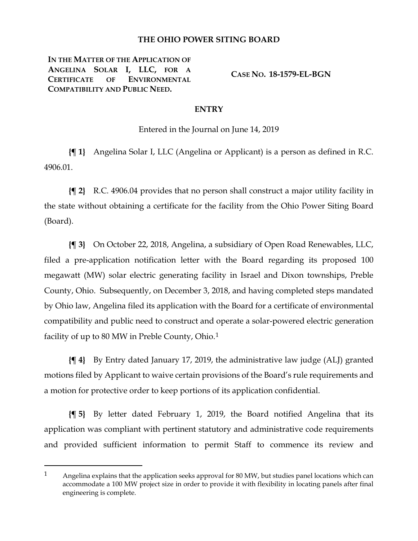## **THE OHIO POWER SITING BOARD**

**IN THE MATTER OF THE APPLICATION OF ANGELINA SOLAR I, LLC, FOR A CERTIFICATE OF ENVIRONMENTAL COMPATIBILITY AND PUBLIC NEED.**

 $\overline{a}$ 

**CASE NO. 18-1579-EL-BGN**

## **ENTRY**

Entered in the Journal on June 14, 2019

**{¶ 1}** Angelina Solar I, LLC (Angelina or Applicant) is a person as defined in R.C. 4906.01.

**{¶ 2}** R.C. 4906.04 provides that no person shall construct a major utility facility in the state without obtaining a certificate for the facility from the Ohio Power Siting Board (Board).

**{¶ 3}** On October 22, 2018, Angelina, a subsidiary of Open Road Renewables, LLC, filed a pre-application notification letter with the Board regarding its proposed 100 megawatt (MW) solar electric generating facility in Israel and Dixon townships, Preble County, Ohio. Subsequently, on December 3, 2018, and having completed steps mandated by Ohio law, Angelina filed its application with the Board for a certificate of environmental compatibility and public need to construct and operate a solar-powered electric generation facility of up to 80 MW in Preble County, Ohio.<sup>[1](#page-0-0)</sup>

**{¶ 4}** By Entry dated January 17, 2019, the administrative law judge (ALJ) granted motions filed by Applicant to waive certain provisions of the Board's rule requirements and a motion for protective order to keep portions of its application confidential.

**{¶ 5}** By letter dated February 1, 2019, the Board notified Angelina that its application was compliant with pertinent statutory and administrative code requirements and provided sufficient information to permit Staff to commence its review and

<span id="page-0-0"></span><sup>1</sup> Angelina explains that the application seeks approval for 80 MW, but studies panel locations which can accommodate a 100 MW project size in order to provide it with flexibility in locating panels after final engineering is complete.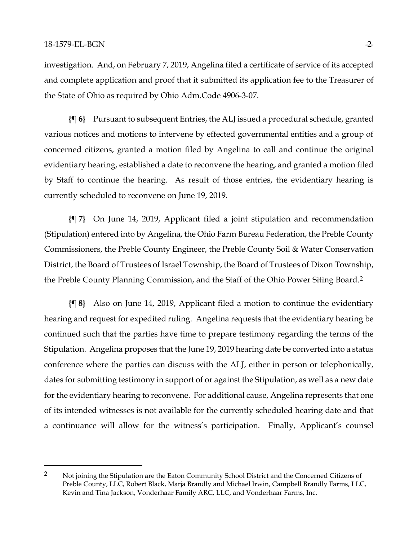$\overline{a}$ 

investigation. And, on February 7, 2019, Angelina filed a certificate of service of its accepted and complete application and proof that it submitted its application fee to the Treasurer of the State of Ohio as required by Ohio Adm.Code 4906-3-07.

**{¶ 6}** Pursuant to subsequent Entries, the ALJ issued a procedural schedule, granted various notices and motions to intervene by effected governmental entities and a group of concerned citizens, granted a motion filed by Angelina to call and continue the original evidentiary hearing, established a date to reconvene the hearing, and granted a motion filed by Staff to continue the hearing. As result of those entries, the evidentiary hearing is currently scheduled to reconvene on June 19, 2019.

**{¶ 7}** On June 14, 2019, Applicant filed a joint stipulation and recommendation (Stipulation) entered into by Angelina, the Ohio Farm Bureau Federation, the Preble County Commissioners, the Preble County Engineer, the Preble County Soil & Water Conservation District, the Board of Trustees of Israel Township, the Board of Trustees of Dixon Township, the Preble County Planning Commission, and the Staff of the Ohio Power Siting Board.[2](#page-1-0)

**{¶ 8}** Also on June 14, 2019, Applicant filed a motion to continue the evidentiary hearing and request for expedited ruling. Angelina requests that the evidentiary hearing be continued such that the parties have time to prepare testimony regarding the terms of the Stipulation. Angelina proposes that the June 19, 2019 hearing date be converted into a status conference where the parties can discuss with the ALJ, either in person or telephonically, dates for submitting testimony in support of or against the Stipulation, as well as a new date for the evidentiary hearing to reconvene. For additional cause, Angelina represents that one of its intended witnesses is not available for the currently scheduled hearing date and that a continuance will allow for the witness's participation. Finally, Applicant's counsel

<span id="page-1-0"></span><sup>&</sup>lt;sup>2</sup> Not joining the Stipulation are the Eaton Community School District and the Concerned Citizens of Preble County, LLC, Robert Black, Marja Brandly and Michael Irwin, Campbell Brandly Farms, LLC, Kevin and Tina Jackson, Vonderhaar Family ARC, LLC, and Vonderhaar Farms, Inc.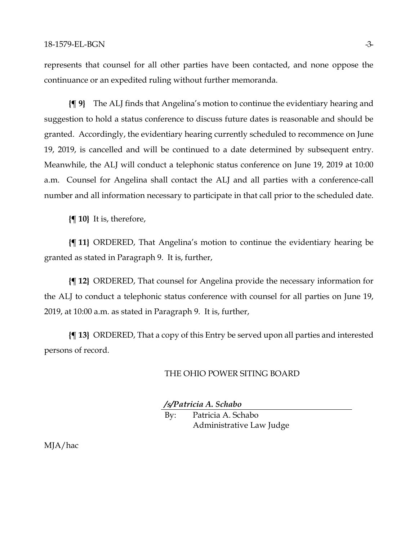represents that counsel for all other parties have been contacted, and none oppose the continuance or an expedited ruling without further memoranda.

**{¶ 9}** The ALJ finds that Angelina's motion to continue the evidentiary hearing and suggestion to hold a status conference to discuss future dates is reasonable and should be granted. Accordingly, the evidentiary hearing currently scheduled to recommence on June 19, 2019, is cancelled and will be continued to a date determined by subsequent entry. Meanwhile, the ALJ will conduct a telephonic status conference on June 19, 2019 at 10:00 a.m. Counsel for Angelina shall contact the ALJ and all parties with a conference-call number and all information necessary to participate in that call prior to the scheduled date.

**{¶ 10}** It is, therefore,

**{¶ 11}** ORDERED, That Angelina's motion to continue the evidentiary hearing be granted as stated in Paragraph 9. It is, further,

**{¶ 12}** ORDERED, That counsel for Angelina provide the necessary information for the ALJ to conduct a telephonic status conference with counsel for all parties on June 19, 2019, at 10:00 a.m. as stated in Paragraph 9. It is, further,

**{¶ 13}** ORDERED, That a copy of this Entry be served upon all parties and interested persons of record.

## THE OHIO POWER SITING BOARD

*/s/Patricia A. Schabo*

By: Patricia A. Schabo Administrative Law Judge

MJA/hac